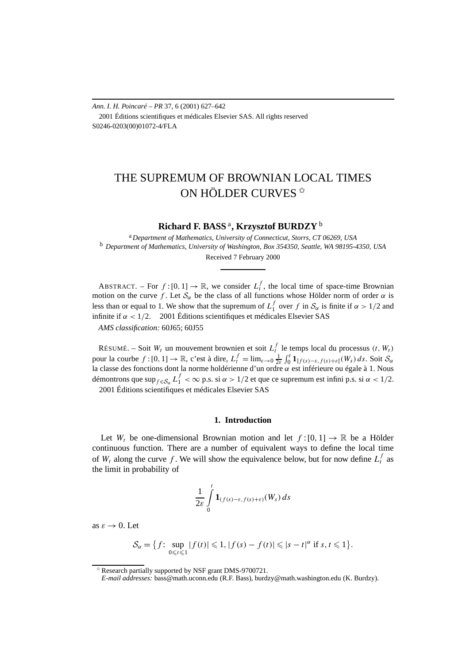*Ann. I. H. Poincaré – PR* 37, 6 (2001) 627–642 2001 Éditions scientifiques et médicales Elsevier SAS. All rights reserved S0246-0203(00)01072-4/FLA

# THE SUPREMUM OF BROWNIAN LOCAL TIMES ON HÖLDER CURVES<sup>☆</sup>

**Richard F. BASS** <sup>a</sup>**, Krzysztof BURDZY** <sup>b</sup>

<sup>a</sup> *Department of Mathematics, University of Connecticut, Storrs, CT 06269, USA* <sup>b</sup> *Department of Mathematics, University of Washington, Box 354350, Seattle, WA 98195-4350, USA* Received 7 February 2000

ABSTRACT. – For  $f:[0,1] \to \mathbb{R}$ , we consider  $L_t^f$ , the local time of space-time Brownian motion on the curve *f*. Let  $S_\alpha$  be the class of all functions whose Hölder norm of order  $\alpha$  is less than or equal to 1. We show that the supremum of  $L_1^f$  over  $f$  in  $S_\alpha$  is finite if  $\alpha > 1/2$  and infinite if  $\alpha$  < 1/2.  $\odot$  2001 Éditions scientifiques et médicales Elsevier SAS

*AMS classification:* 60J65; 60J55

RÉSUMÉ. – Soit  $W_t$  un mouvement brownien et soit  $L_t^f$  le temps local du processus  $(t, W_t)$ pour la courbe  $f:[0,1] \to \mathbb{R}$ , c'est à dire,  $L_t^f = \lim_{\varepsilon \to 0} \frac{1}{2\varepsilon} \int_0^t \mathbf{1}_{]f(s) - \varepsilon, f(s) + \varepsilon[(W_s) ds]}$ . Soit  $\mathcal{S}_\alpha$ la classe des fonctions dont la norme holdérienne d'un ordre *α* est inférieure ou égale à 1. Nous démontrons que sup $f \in S_\alpha L_1^f < \infty$  p.s. si  $\alpha > 1/2$  et que ce supremum est infini p.s. si  $\alpha < 1/2$ . 2001 Éditions scientifiques et médicales Elsevier SAS

## **1. Introduction**

Let  $W_t$  be one-dimensional Brownian motion and let  $f:[0,1] \to \mathbb{R}$  be a Hölder continuous function. There are a number of equivalent ways to define the local time of  $W_t$  along the curve f. We will show the equivalence below, but for now define  $L_t^f$  as the limit in probability of

$$
\frac{1}{2\varepsilon}\int\limits_0^t{\bf 1}_{(f(s)-\varepsilon,f(s)+\varepsilon)}(W_s)\,ds
$$

as  $\varepsilon \to 0$ . Let

$$
\mathcal{S}_{\alpha} = \left\{ f \colon \sup_{0 \leq t \leq 1} |f(t)| \leq 1, |f(s) - f(t)| \leq |s - t|^{\alpha} \text{ if } s, t \leq 1 \right\}.
$$

<sup>✩</sup> Research partially supported by NSF grant DMS-9700721.

*E-mail addresses:* bass@math.uconn.edu (R.F. Bass), burdzy@math.washington.edu (K. Burdzy).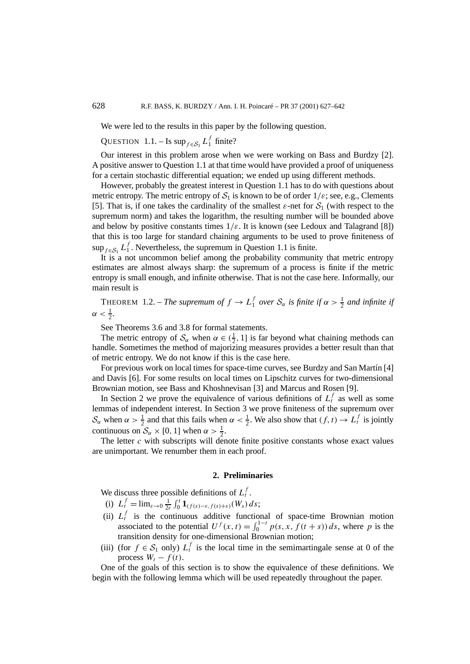We were led to the results in this paper by the following question.

QUESTION 1.1. – Is  $\sup_{f \in S_1} L_1^f$  finite?

Our interest in this problem arose when we were working on Bass and Burdzy [2]. A positive answer to Question 1.1 at that time would have provided a proof of uniqueness for a certain stochastic differential equation; we ended up using different methods.

However, probably the greatest interest in Question 1.1 has to do with questions about metric entropy. The metric entropy of  $S_1$  is known to be of order  $1/\varepsilon$ ; see, e.g., Clements [5]. That is, if one takes the cardinality of the smallest  $\varepsilon$ -net for  $S_1$  (with respect to the supremum norm) and takes the logarithm, the resulting number will be bounded above and below by positive constants times  $1/\varepsilon$ . It is known (see Ledoux and Talagrand [8]) that this is too large for standard chaining arguments to be used to prove finiteness of  $\sup_{f \in S_1} L_1^f$ . Nevertheless, the supremum in Question 1.1 is finite.

It is a not uncommon belief among the probability community that metric entropy estimates are almost always sharp: the supremum of a process is finite if the metric entropy is small enough, and infinite otherwise. That is not the case here. Informally, our main result is

**THEOREM** 1.2. – *The supremum of*  $f \to L_1^f$  *over*  $S_\alpha$  *is finite if*  $\alpha > \frac{1}{2}$  *and infinite if*  $\alpha < \frac{1}{2}$ .

See Theorems 3.6 and 3.8 for formal statements.

The metric entropy of  $S_\alpha$  when  $\alpha \in (\frac{1}{2}, 1]$  is far beyond what chaining methods can handle. Sometimes the method of majorizing measures provides a better result than that of metric entropy. We do not know if this is the case here.

For previous work on local times for space-time curves, see Burdzy and San Martín [4] and Davis [6]. For some results on local times on Lipschitz curves for two-dimensional Brownian motion, see Bass and Khoshnevisan [3] and Marcus and Rosen [9].

In Section 2 we prove the equivalence of various definitions of  $L_t^f$  as well as some lemmas of independent interest. In Section 3 we prove finiteness of the supremum over  $S_\alpha$  when  $\alpha > \frac{1}{2}$  and that this fails when  $\alpha < \frac{1}{2}$ . We also show that  $(f, t) \to L_t^f$  is jointly continuous on  $S_\alpha \times [0, 1]$  when  $\alpha > \frac{1}{2}$ .

The letter  $c$  with subscripts will denote finite positive constants whose exact values are unimportant. We renumber them in each proof.

### **2. Preliminaries**

We discuss three possible definitions of  $L_t^f$ .

- (i)  $L_t^f = \lim_{\varepsilon \to 0} \frac{1}{2\varepsilon}$  $\frac{1}{2\varepsilon} \int_0^t \mathbf{1}_{(f(s)-\varepsilon,f(s)+\varepsilon)}(W_s) ds;$
- (ii)  $L_t^f$  is the continuous additive functional of space-time Brownian motion associated to the potential  $U^f(x, t) = \int_0^{1-t} p(s, x, f(t + s)) ds$ , where *p* is the transition density for one-dimensional Brownian motion;
- (iii) (for  $f \in S_1$  only)  $L_t^f$  is the local time in the semimartingale sense at 0 of the process  $W_t - f(t)$ .

One of the goals of this section is to show the equivalence of these definitions. We begin with the following lemma which will be used repeatedly throughout the paper.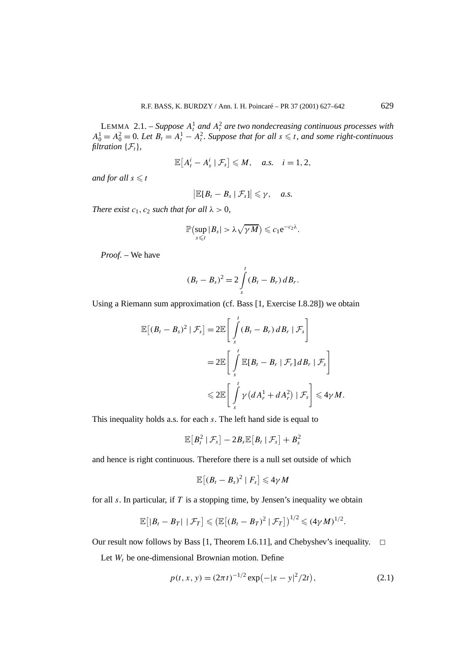LEMMA 2.1. – *Suppose*  $A_t^1$  *and*  $A_t^2$  *are two nondecreasing continuous processes with*  $A_0^1 = A_0^2 = 0$ . Let  $B_t = A_t^1 - A_t^2$ . Suppose that for all  $s \le t$ , and some right-continuous *filtration*  $\{\mathcal{F}_t\}$ *,* 

$$
\mathbb{E}\left[A_t^i - A_s^i \mid \mathcal{F}_s\right] \leqslant M, \quad a.s. \quad i = 1, 2,
$$

*and for all*  $s \leq t$ 

$$
\big|\mathbb{E}[B_t-B_s\mid \mathcal{F}_s]\big|\leqslant \gamma,\quad a.s.
$$

*There exist*  $c_1$ ,  $c_2$  *such that for all*  $\lambda > 0$ ,

$$
\mathbb{P}\left(\sup_{s\leq t}|B_s|>\lambda\sqrt{\gamma M}\right)\leqslant c_1e^{-c_2\lambda}.
$$

*Proof. –* We have

$$
(B_t - B_s)^2 = 2 \int\limits_{s}^{t} (B_t - B_r) \, dB_r.
$$

Using a Riemann sum approximation (cf. Bass [1, Exercise I.8.28]) we obtain

$$
\mathbb{E}[(B_t - B_s)^2 | \mathcal{F}_s] = 2\mathbb{E}\left[\int_s^t (B_t - B_r) dB_r | \mathcal{F}_s\right]
$$
  
= 
$$
2\mathbb{E}\left[\int_s^t \mathbb{E}[B_t - B_r | \mathcal{F}_r] dB_r | \mathcal{F}_s\right]
$$
  

$$
\leq 2\mathbb{E}\left[\int_s^t \gamma (dA_r^1 + dA_r^2) | \mathcal{F}_s\right] \leq 4\gamma M.
$$

This inequality holds a.s. for each *s*. The left hand side is equal to

$$
\mathbb{E}\big[B_t^2 \mid \mathcal{F}_s\big] - 2B_s \mathbb{E}\big[B_t \mid \mathcal{F}_s\big] + B_s^2
$$

and hence is right continuous. Therefore there is a null set outside of which

$$
\mathbb{E}[(B_t-B_s)^2\mid F_s]\leq 4\gamma M
$$

for all *s*. In particular, if *T* is a stopping time, by Jensen's inequality we obtain

$$
\mathbb{E}[|B_t-B_T| | \mathcal{F}_T] \leq (\mathbb{E}[(B_t-B_T)^2 | \mathcal{F}_T])^{1/2} \leq (4\gamma M)^{1/2}.
$$

Our result now follows by Bass [1, Theorem I.6.11], and Chebyshev's inequality.  $\Box$ 

Let  $W_t$  be one-dimensional Brownian motion. Define

$$
p(t, x, y) = (2\pi t)^{-1/2} \exp(-|x - y|^2/2t),
$$
\n(2.1)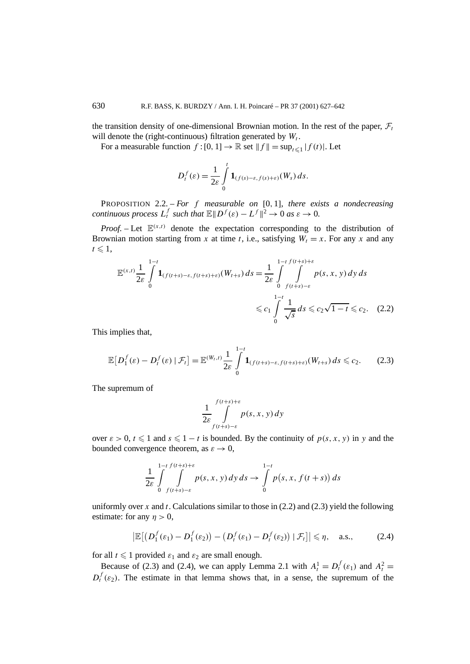the transition density of one-dimensional Brownian motion. In the rest of the paper,  $\mathcal{F}_t$ will denote the (right-continuous) filtration generated by  $W_t$ .

For a measurable function  $f:[0,1] \to \mathbb{R}$  set  $||f|| = \sup_{t \leq 1} |f(t)|$ . Let

$$
D_t^f(\varepsilon) = \frac{1}{2\varepsilon} \int\limits_0^t \mathbf{1}_{(f(s)-\varepsilon,f(s)+\varepsilon)}(W_s) \, ds.
$$

PROPOSITION 2.2. – *For f measurable on* [0*,* 1]*, there exists a nondecreasing continuous process*  $L_t^f$  *such that*  $\mathbb{E} \Vert D^f(\varepsilon) - L^f \Vert^2 \to 0$  *as*  $\varepsilon \to 0$ *.* 

*Proof.* – Let  $\mathbb{E}^{(x,t)}$  denote the expectation corresponding to the distribution of Brownian motion starting from *x* at time *t*, i.e., satisfying  $W_t = x$ . For any *x* and any  $t \leqslant 1$ ,

$$
\mathbb{E}^{(x,t)} \frac{1}{2\varepsilon} \int_{0}^{1-t} \mathbf{1}_{(f(t+s)-\varepsilon,f(t+s)+\varepsilon)}(W_{t+s}) ds = \frac{1}{2\varepsilon} \int_{0}^{1-t} \int_{f(t+s)-\varepsilon}^{1-t} p(s,x,y) dy ds
$$
  

$$
\leq c_1 \int_{0}^{1-t} \frac{1}{\sqrt{s}} ds \leq c_2 \sqrt{1-t} \leq c_2. \quad (2.2)
$$

This implies that,

$$
\mathbb{E}\big[D_1^f(\varepsilon)-D_t^f(\varepsilon)\mid \mathcal{F}_t\big]=\mathbb{E}^{(W_t,t)}\frac{1}{2\varepsilon}\int\limits_0^{1-t}\mathbf{1}_{(f(t+s)-\varepsilon,f(t+s)+\varepsilon)}(W_{t+s})\,ds\leqslant c_2.\tag{2.3}
$$

The supremum of

$$
\frac{1}{2\varepsilon} \int\limits_{f(t+s)-\varepsilon}^{f(t+s)+\varepsilon} p(s,x,y) \, dy
$$

over  $\varepsilon > 0$ ,  $t \le 1$  and  $s \le 1 - t$  is bounded. By the continuity of  $p(s, x, y)$  in y and the bounded convergence theorem, as  $\varepsilon \to 0$ ,

$$
\frac{1}{2\varepsilon}\int\limits^{1-t}_{0}\int\limits_{f(t+s)-\varepsilon}^{f(t+s)+\varepsilon}p(s,x,y)\,dy\,ds\to\int\limits^{1-t}_{0}p(s,x,f(t+s))\,ds
$$

uniformly over *x* and *t*. Calculations similar to those in (2.2) and (2.3) yield the following estimate: for any  $\eta > 0$ ,

$$
\left|\mathbb{E}\big[\big(D_1^f(\varepsilon_1) - D_1^f(\varepsilon_2)\big) - \big(D_t^f(\varepsilon_1) - D_t^f(\varepsilon_2)\big) \mid \mathcal{F}_t\big]\right| \leqslant \eta, \quad \text{a.s.,} \tag{2.4}
$$

for all  $t \leq 1$  provided  $\varepsilon_1$  and  $\varepsilon_2$  are small enough.

Because of (2.3) and (2.4), we can apply Lemma 2.1 with  $A_t^1 = D_t^f(\varepsilon_1)$  and  $A_t^2 =$  $D_t^f(\varepsilon_2)$ . The estimate in that lemma shows that, in a sense, the supremum of the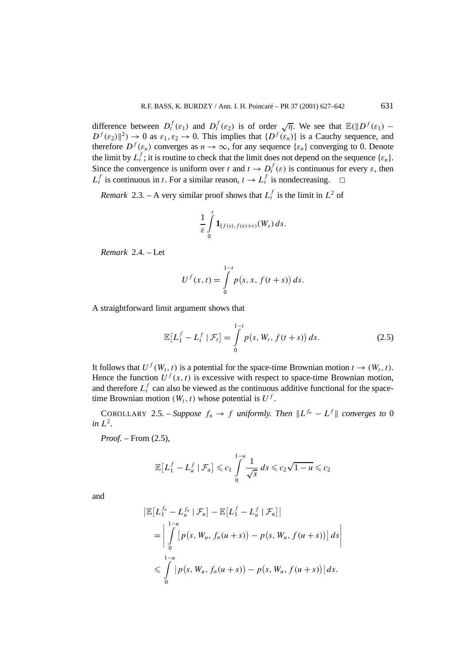difference between  $D_t^f(\varepsilon_1)$  and  $D_t^f(\varepsilon_2)$  is of order  $\sqrt{\eta}$ . We see that  $\mathbb{E}(\Vert D^f(\varepsilon_1) D^f(\epsilon_2)$ <sup>2</sup>)  $\rightarrow$  0 as  $\epsilon_1$ ,  $\epsilon_2$   $\rightarrow$  0. This implies that  $\{D^f(\epsilon_n)\}\)$  is a Cauchy sequence, and therefore  $D^f(\varepsilon_n)$  converges as  $n \to \infty$ , for any sequence  $\{\varepsilon_n\}$  converging to 0. Denote the limit by  $L_t^f$ ; it is routine to check that the limit does not depend on the sequence  $\{\varepsilon_n\}$ . Since the convergence is uniform over *t* and  $t \to D_t^f(\varepsilon)$  is continuous for every  $\varepsilon$ , then  $L_t^f$  is continuous in *t*. For a similar reason,  $t \to L_t^f$  is nondecreasing.  $\Box$ 

*Remark* 2.3. – A very similar proof shows that  $L_t^f$  is the limit in  $L^2$  of

$$
\frac{1}{\varepsilon}\int\limits_0^t\mathbf{1}_{[f(s),f(s)+\varepsilon)}(W_s)\,ds.
$$

*Remark* 2.4. – Let

$$
U^{f}(x,t) = \int_{0}^{1-t} p(s, x, f(t+s)) ds.
$$

A straightforward limit argument shows that

$$
\mathbb{E}\big[L_1^f - L_t^f \mid \mathcal{F}_t\big] = \int\limits_0^{1-t} p(s, W_t, f(t+s)) \, ds. \tag{2.5}
$$

It follows that  $U^f(W_t, t)$  is a potential for the space-time Brownian motion  $t \to (W_t, t)$ . Hence the function  $U^f(x, t)$  is excessive with respect to space-time Brownian motion, and therefore  $L_t^f$  can also be viewed as the continuous additive functional for the spacetime Brownian motion  $(W_t, t)$  whose potential is  $U^f$ .

COROLLARY 2.5. – *Suppose*  $f_n \to f$  *uniformly. Then*  $||L^{f_n} - L^f||$  *converges to* 0  $in L<sup>2</sup>$ .

*Proof. –* From (2.5),

$$
\mathbb{E}\big[L_1^f - L_u^f \mid \mathcal{F}_u\big] \leqslant c_1 \int\limits_{0}^{1-u} \frac{1}{\sqrt{s}} ds \leqslant c_2 \sqrt{1-u} \leqslant c_2
$$

and

$$
\begin{aligned} \left| \mathbb{E} \left[ L_1^{f_n} - L_u^{f_n} \mid \mathcal{F}_u \right] - \mathbb{E} \left[ L_1^f - L_u^f \mid \mathcal{F}_u \right] \right| \\ &= \left| \int_0^{1-u} \left[ p(s, W_u, f_n(u+s)) - p(s, W_u, f(u+s)) \right] ds \right| \\ &\leqslant \int_0^{1-u} \left| p(s, W_u, f_n(u+s)) - p(s, W_u, f(u+s)) \right| ds. \end{aligned}
$$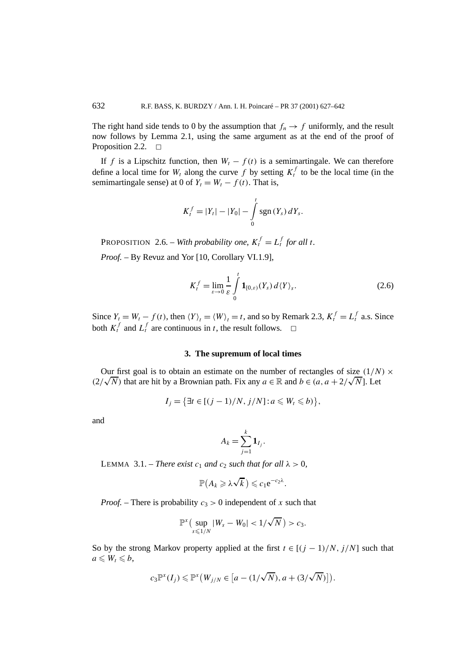The right hand side tends to 0 by the assumption that  $f_n \to f$  uniformly, and the result now follows by Lemma 2.1, using the same argument as at the end of the proof of Proposition 2.2.  $\Box$ 

If *f* is a Lipschitz function, then  $W_t - f(t)$  is a semimartingale. We can therefore define a local time for  $W_t$  along the curve f by setting  $K_t^f$  to be the local time (in the semimartingale sense) at 0 of  $Y_t = W_t - f(t)$ . That is,

$$
K_t^f = |Y_t| - |Y_0| - \int_0^t \operatorname{sgn}(Y_s) \, dY_s.
$$

PROPOSITION 2.6. – *With probability one,*  $K_t^f = L_t^f$  *for all t.* 

*Proof. –* By Revuz and Yor [10, Corollary VI.1.9],

$$
K_t^f = \lim_{\varepsilon \to 0} \frac{1}{\varepsilon} \int_0^t \mathbf{1}_{[0,\varepsilon)}(Y_s) d\langle Y \rangle_s.
$$
 (2.6)

Since  $Y_t = W_t - f(t)$ , then  $\langle Y \rangle_t = \langle W \rangle_t = t$ , and so by Remark 2.3,  $K_t^f = L_t^f$  a.s. Since both  $K_t^f$  and  $L_t^f$  are continuous in *t*, the result follows.  $\Box$ 

#### **3. The supremum of local times**

Our first goal is to obtain an estimate on the number of rectangles of size  $(1/N) \times$ *C*( $\sqrt{N}$ ) that are hit by a Brownian path. Fix any  $a \in \mathbb{R}$  and  $b \in (a, a + 2/\sqrt{N})$ . Let

$$
I_j = \left\{ \exists t \in [(j-1)/N, j/N] : a \leqslant W_t \leqslant b) \right\},\
$$

and

$$
A_k = \sum_{j=1}^k \mathbf{1}_{I_j}.
$$

**LEMMA** 3.1. – *There exist*  $c_1$  *and*  $c_2$  *such that for all*  $\lambda > 0$ *,* 

$$
\mathbb{P}(A_k \geqslant \lambda \sqrt{k}) \leqslant c_1 e^{-c_2 \lambda}.
$$

*Proof.* – There is probability  $c_3 > 0$  independent of x such that

$$
\mathbb{P}^x\big(\sup_{s\leq 1/N}|W_s-W_0|<1/\sqrt{N}\big)>c_3.
$$

So by the strong Markov property applied at the first  $t \in [(j - 1)/N, j/N]$  such that  $a \leqslant W_t \leqslant b$ ,

$$
c_3\mathbb{P}^x(I_j)\leq \mathbb{P}^x\big(W_{j/N}\in\big[a-(1/\sqrt{N}),a+(3/\sqrt{N})\big]\big).
$$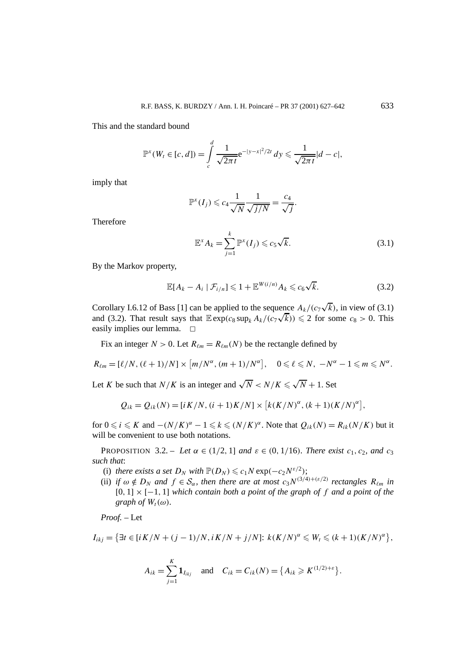This and the standard bound

$$
\mathbb{P}^{x}(W_{t} \in [c,d]) = \int_{c}^{d} \frac{1}{\sqrt{2\pi t}} e^{-|y-x|^2/2t} dy \leq \frac{1}{\sqrt{2\pi t}} |d-c|,
$$

imply that

$$
\mathbb{P}^x(I_j) \leqslant c_4 \frac{1}{\sqrt{N}} \frac{1}{\sqrt{j/N}} = \frac{c_4}{\sqrt{j}}
$$

Therefore

$$
\mathbb{E}^x A_k = \sum_{j=1}^k \mathbb{P}^x(I_j) \leqslant c_5 \sqrt{k}.\tag{3.1}
$$

*.*

By the Markov property,

$$
\mathbb{E}[A_k - A_i \mid \mathcal{F}_{i/n}] \leq 1 + \mathbb{E}^{W(i/n)} A_k \leq c_6 \sqrt{k}.
$$
 (3.2)

Corollary I.6.12 of Bass [1] can be applied to the sequence  $A_k/(c_7\sqrt{k})$ , in view of (3.1) Corollary 1.6.12 of Bass [1] can be applied to the sequence  $A_k/(c_7\sqrt{k})$ , in view of (3.1) and (3.2). That result says that  $\mathbb{E} \exp(c_8 \sup_k A_k/(c_7\sqrt{k})) \leq 2$  for some  $c_8 > 0$ . This easily implies our lemma.  $\square$ 

Fix an integer  $N > 0$ . Let  $R_{\ell m} = R_{\ell m}(N)$  be the rectangle defined by

$$
R_{\ell m}=[\ell/N, (\ell+1)/N]\times [m/N^{\alpha}, (m+1)/N^{\alpha}], \quad 0\leqslant \ell \leqslant N, -N^{\alpha}-1\leqslant m\leqslant N^{\alpha}.
$$

Let *K* be such that  $N/K$  is an integer and  $\sqrt{N} < N/K \leq \sqrt{N} + 1$ . Set

$$
Q_{ik} = Q_{ik}(N) = [i K/N, (i + 1)K/N] \times [k(K/N)^{\alpha}, (k + 1)(K/N)^{\alpha}],
$$

for  $0 \le i \le K$  and  $-(N/K)^{\alpha} - 1 \le k \le (N/K)^{\alpha}$ . Note that  $Q_{ik}(N) = R_{ik}(N/K)$  but it will be convenient to use both notations.

PROPOSITION 3.2. – *Let*  $\alpha \in (1/2, 1]$  *and*  $\varepsilon \in (0, 1/16)$ *. There exist*  $c_1, c_2$ *, and*  $c_3$ *such that*:

- (i) *there exists a set*  $D_N$  *with*  $\mathbb{P}(D_N) \leq c_1 N \exp(-c_2 N^{\varepsilon/2})$ ;
- (ii) *if*  $\omega \notin D_N$  *and*  $f \in S_\alpha$ *, then there are at most*  $c_3 N^{(3/4)+(\varepsilon/2)}$  *rectangles*  $R_{\ell m}$  *in* [0*,* 1] × [−1*,* 1] *which contain both a point of the graph of f and a point of the graph of*  $W_t(\omega)$ *.*

*Proof. –* Let

$$
I_{ikj} = \left\{ \exists t \in [iK/N + (j-1)/N, iK/N + j/N] : k(K/N)^{\alpha} \leq W_t \leq (k+1)(K/N)^{\alpha} \right\},
$$

$$
A_{ik} = \sum_{j=1}^{K} \mathbf{1}_{I_{ikj}}
$$
 and  $C_{ik} = C_{ik}(N) = \{A_{ik} \ge K^{(1/2) + \varepsilon}\}.$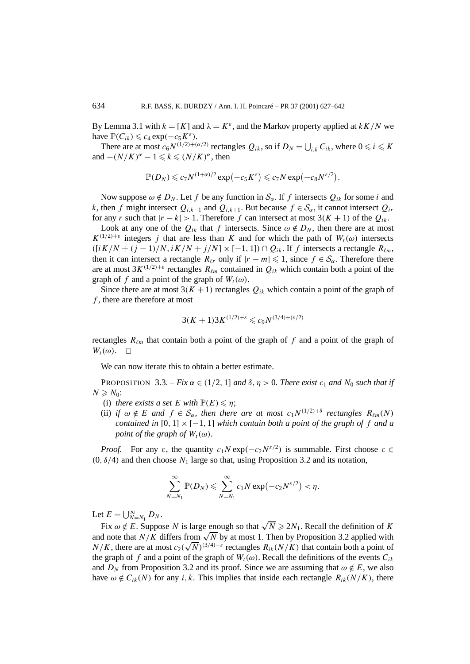By Lemma 3.1 with  $k = [K]$  and  $\lambda = K^{\varepsilon}$ , and the Markov property applied at  $kK/N$  we have  $\mathbb{P}(C_{ik}) \leqslant c_4 \exp(-c_5 K^{\varepsilon}).$ 

There are at most  $c_6 N^{(1/2)+( \alpha/2)}$  rectangles  $Q_{ik}$ , so if  $D_N = \bigcup_{i,k} C_{ik}$ , where  $0 \leq i \leq K$ and  $-(N/K)^{\alpha} - 1 \leq k \leq (N/K)^{\alpha}$ , then

$$
\mathbb{P}(D_N) \leqslant c_7 N^{(1+\alpha)/2} \exp(-c_5 K^{\varepsilon}) \leqslant c_7 N \exp(-c_8 N^{\varepsilon/2}).
$$

Now suppose  $\omega \notin D_N$ . Let f be any function in  $\mathcal{S}_{\alpha}$ . If f intersects  $Q_{ik}$  for some *i* and *k*, then *f* might intersect  $Q_{i,k-1}$  and  $Q_{i,k+1}$ . But because *f* ∈  $S_\alpha$ , it cannot intersect  $Q_{i,k}$ for any *r* such that  $|r - k| > 1$ . Therefore *f* can intersect at most  $3(K + 1)$  of the  $Q_{ik}$ .

Look at any one of the  $Q_{ik}$  that *f* intersects. Since  $\omega \notin D_N$ , then there are at most  $K^{(1/2)+\varepsilon}$  integers *j* that are less than *K* and for which the path of  $W_t(\omega)$  intersects  $\left(\frac{[iK/N + (i-1)/N, iK/N + i/N] \times [-1, 1]}{O_{ik}}\right)$ . If *f* intersects a rectangle  $R_{\ell m}$ , then it can intersect a rectangle  $R_{\ell r}$  only if  $|r - m| \leq 1$ , since  $f \in S_{\alpha}$ . Therefore there are at most  $3K^{(1/2)+\varepsilon}$  rectangles  $R_{\ell m}$  contained in  $Q_{ik}$  which contain both a point of the graph of *f* and a point of the graph of  $W_t(\omega)$ .

Since there are at most  $3(K + 1)$  rectangles  $Q_{ik}$  which contain a point of the graph of *f* , there are therefore at most

$$
3(K+1)3K^{(1/2)+\varepsilon} \leqslant c_9 N^{(3/4)+(\varepsilon/2)}
$$

rectangles  $R_{\ell m}$  that contain both a point of the graph of  $f$  and a point of the graph of  $W_t(\omega)$ .  $\Box$ 

We can now iterate this to obtain a better estimate.

PROPOSITION 3.3. – *Fix*  $\alpha \in (1/2, 1]$  *and*  $\delta, \eta > 0$ *. There exist*  $c_1$  *and*  $N_0$  *such that if*  $N \geqslant N_0$ :

- (i) *there exists a set*  $E$  *with*  $\mathbb{P}(E) \leq n$ ;
- (ii) *if*  $\omega \notin E$  *and*  $f \in S_\alpha$ *, then there are at most*  $c_1 N^{(1/2)+\delta}$  *rectangles*  $R_{\ell m}(N)$ *contained in*  $[0, 1] \times [-1, 1]$  *which contain both a point of the graph of f and a point of the graph of*  $W_t(\omega)$ *.*

*Proof.* – For any  $\varepsilon$ , the quantity  $c_1N \exp(-c_2N^{\varepsilon/2})$  is summable. First choose  $\varepsilon \in$ *(*0*, δ/*4*)* and then choose *N*<sup>1</sup> large so that, using Proposition 3.2 and its notation,

$$
\sum_{N=N_1}^{\infty} \mathbb{P}(D_N) \leqslant \sum_{N=N_1}^{\infty} c_1 N \exp(-c_2 N^{\varepsilon/2}) < \eta.
$$

Let  $E = \bigcup_{N=N_1}^{\infty} D_N$ .

Fix  $\omega \notin E$ . Suppose *N* is large enough so that  $\sqrt{N} \ge 2N_1$ . Recall the definition of *K* and note that *N/K* differs from  $\sqrt{N}$  by at most 1. Then by Proposition 3.2 applied with and note that  $N/K$  differs from  $\sqrt{N}$  by at most 1. Then by Proposition 3.2 applied with  $N/K$ , there are at most  $c_2(\sqrt{N})^{(3/4)+\varepsilon}$  rectangles  $R_{ik}(N/K)$  that contain both a point of the graph of *f* and a point of the graph of  $W_t(\omega)$ . Recall the definitions of the events  $C_{ik}$ and  $D_N$  from Proposition 3.2 and its proof. Since we are assuming that  $\omega \notin E$ , we also have  $\omega \notin C_{ik}(N)$  for any *i, k*. This implies that inside each rectangle  $R_{ik}(N/K)$ , there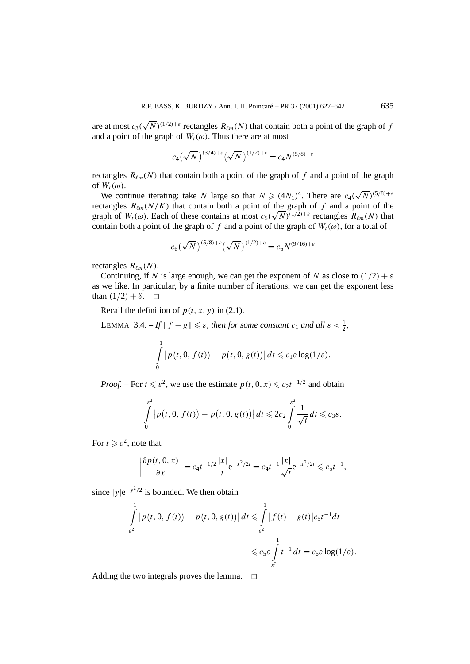are at most  $c_3(\sqrt{N})^{(1/2)+\varepsilon}$  rectangles  $R_{\ell m}(N)$  that contain both a point of the graph of *f* and a point of the graph of  $W_t(\omega)$ . Thus there are at most

$$
c_4(\sqrt{N})^{(3/4)+\varepsilon}(\sqrt{N})^{(1/2)+\varepsilon} = c_4 N^{(5/8)+\varepsilon}
$$

rectangles  $R_{\ell m}(N)$  that contain both a point of the graph of f and a point of the graph of  $W_t(\omega)$ .

W<sub>t</sub>( $\omega$ ).<br>We continue iterating: take *N* large so that  $N \ge (4N_1)^4$ . There are  $c_4(\sqrt{N})^{(5/8)+\varepsilon}$ rectangles  $R_{\ell m}(N/K)$  that contain both a point of the graph of f and a point of the rectangles  $R_{\ell m}(N/K)$  that contain both a point of the graph of f and a point of the graph of  $W_t(\omega)$ . Each of these contains at most  $c_5(\sqrt{N})^{(1/2)+\varepsilon}$  rectangles  $R_{\ell m}(N)$  that contain both a point of the graph of *f* and a point of the graph of  $W_t(\omega)$ , for a total of

$$
c_6(\sqrt{N})^{(5/8)+\varepsilon}(\sqrt{N})^{(1/2)+\varepsilon}=c_6N^{(9/16)+\varepsilon}
$$

rectangles  $R_{\ell m}(N)$ .

Continuing, if *N* is large enough, we can get the exponent of *N* as close to  $(1/2) + \varepsilon$ as we like. In particular, by a finite number of iterations, we can get the exponent less than  $(1/2) + \delta$ .  $\Box$ 

Recall the definition of  $p(t, x, y)$  in (2.1).

LEMMA 3.4.  $-If \parallel f - g \parallel \leq \varepsilon$ , then for some constant  $c_1$  and all  $\varepsilon < \frac{1}{2}$ ,

$$
\int_{0}^{1} |p(t, 0, f(t)) - p(t, 0, g(t))| dt \leq c_1 \varepsilon \log(1/\varepsilon).
$$

*Proof.* – For  $t \le \varepsilon^2$ , we use the estimate  $p(t, 0, x) \le c_2 t^{-1/2}$  and obtain

$$
\int\limits_{0}^{\varepsilon^2} |p(t,0, f(t)) - p(t,0, g(t))| dt \leqslant 2c_2 \int\limits_{0}^{\varepsilon^2} \frac{1}{\sqrt{t}} dt \leqslant c_3 \varepsilon.
$$

For  $t \ge \varepsilon^2$ , note that

$$
\left|\frac{\partial p(t,0,x)}{\partial x}\right| = c_4 t^{-1/2} \frac{|x|}{t} e^{-x^2/2t} = c_4 t^{-1} \frac{|x|}{\sqrt{t}} e^{-x^2/2t} \leqslant c_5 t^{-1},
$$

since  $|y|e^{-y^2/2}$  is bounded. We then obtain

$$
\int_{\varepsilon^2}^1 \left| p(t, 0, f(t)) - p(t, 0, g(t)) \right| dt \leqslant \int_{\varepsilon^2}^1 \left| f(t) - g(t) \right| c_5 t^{-1} dt
$$
\n
$$
\leqslant c_5 \varepsilon \int_{\varepsilon^2}^1 t^{-1} dt = c_6 \varepsilon \log(1/\varepsilon).
$$

Adding the two integrals proves the lemma.  $\Box$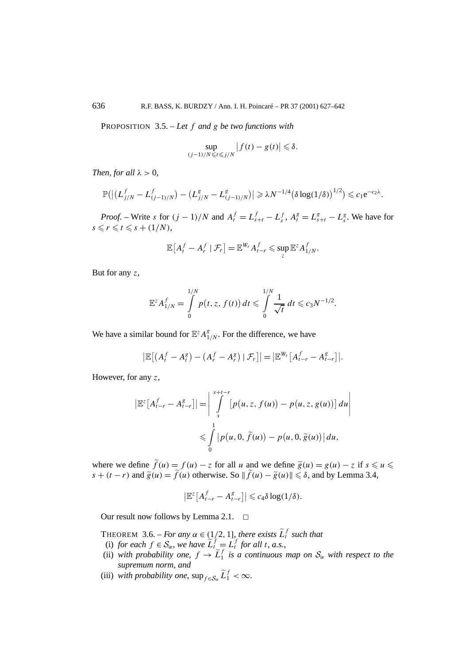PROPOSITION 3.5. – *Let f and g be two functions with*

$$
\sup_{(j-1)/N\leqslant t\leqslant j/N}\left|f(t)-g(t)\right|\leqslant \delta.
$$

*Then, for all*  $\lambda > 0$ *,* 

$$
\mathbb{P}(|(L_{j/N}^f-L_{(j-1)/N}^f)-(L_{j/N}^g-L_{(j-1)/N}^g)| \geq \lambda N^{-1/4}(\delta \log(1/\delta))^{1/2}) \leq c_1 e^{-c_2\lambda}.
$$

*Proof.* – Write s for  $(j - 1)/N$  and  $A_t^f = L_{s+t}^f - L_s^f$ ,  $A_t^g = L_{s+t}^g - L_s^g$ . We have for  $s \leq r \leq t \leq s + (1/N)$ ,

$$
\mathbb{E}\big[A_t^f - A_r^f \mid \mathcal{F}_r\big] = \mathbb{E}^{W_r} A_{t-r}^f \leqslant \sup_z \mathbb{E}^z A_{1/N}^f.
$$

But for any *z*,

$$
\mathbb{E}^{z} A_{1/N}^{f} = \int_{0}^{1/N} p(t, z, f(t)) dt \leq \int_{0}^{1/N} \frac{1}{\sqrt{t}} dt \leq c_3 N^{-1/2}.
$$

We have a similar bound for  $\mathbb{E}^z A_{1/N}^g$ . For the difference, we have

$$
\left|\mathbb{E}\left[\left(A_t^f-A_t^g\right)-\left(A_r^f-A_r^g\right)\mid\mathcal{F}_r\right]\right|=\left|\mathbb{E}^{W_r}\left[A_{t-r}^f-A_{t-r}^g\right]\right|.
$$

However, for any *z*,

$$
\left|\mathbb{E}^{z}\left[A_{t-r}^{f}-A_{t-r}^{g}\right]\right|=\left|\int\limits_{s}^{s+t-r}\left[p\left(u,z,f\left(u\right)\right)-p\left(u,z,g\left(u\right)\right)\right]du\right|\leq\int\limits_{0}^{1}\left|p\left(u,0,\tilde{f}\left(u\right)\right)-p\left(u,0,\tilde{g}\left(u\right)\right)\right|du,
$$

where we define  $\tilde{f}(u) = f(u) - z$  for all *u* and we define  $\tilde{g}(u) = g(u) - z$  if  $s \le u \le u$ *s* + (*t* − *r*) and  $\tilde{g}(u) = \tilde{f}(u)$  otherwise. So  $\|\tilde{f}(u) - \tilde{g}(u)\| \le \delta$ , and by Lemma 3.4,

$$
\left|\mathbb{E}^z\big[A_{t-r}^f-A_{t-r}^g\big]\right|\leqslant c_4\delta\log(1/\delta).
$$

Our result now follows by Lemma 2.1.  $\Box$ 

THEOREM 3.6. – *For any*  $\alpha \in (\frac{1}{2}, 1]$ , there exists  $\tilde{L}_t^f$  such that

- (i) *for each*  $f \in \mathcal{S}_{\alpha}$ , we have  $\widetilde{L}_{t}^{f} = L_{t}^{f}$  *for all t, a.s.,*
- (ii) *with probability one,*  $f \rightarrow \tilde{L}_1^f$  *is a continuous map on*  $S_\alpha$  *with respect to the supremum norm, and*
- (iii) *with probability one,*  $\sup_{f \in \mathcal{S}_{\alpha}} \tilde{L}_1^f < \infty$ *.*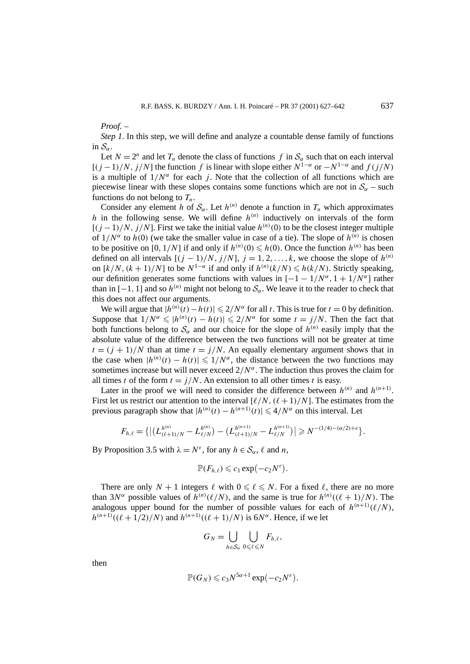*Proof. –*

*Step 1*. In this step, we will define and analyze a countable dense family of functions in  $S_{\alpha}$ .

Let  $N = 2^n$  and let  $T_n$  denote the class of functions  $f$  in  $S_\alpha$  such that on each interval  $[(j-1)/N, j/N]$  the function *f* is linear with slope either  $N^{1-\alpha}$  or  $-N^{1-\alpha}$  and  $f(j/N)$ is a multiple of  $1/N^{\alpha}$  for each *j*. Note that the collection of all functions which are piecewise linear with these slopes contains some functions which are not in  $S_\alpha$  – such functions do not belong to  $T_n$ .

Consider any element *h* of  $S_\alpha$ . Let  $h^{(n)}$  denote a function in  $T_n$  which approximates *h* in the following sense. We will define  $h^{(n)}$  inductively on intervals of the form  $[(j-1)/N, j/N]$ . First we take the initial value  $h^{(n)}(0)$  to be the closest integer multiple of  $1/N^{\alpha}$  to  $h(0)$  (we take the smaller value in case of a tie). The slope of  $h^{(n)}$  is chosen to be positive on [0, 1/N] if and only if  $h^{(n)}(0) \le h(0)$ . Once the function  $h^{(n)}$  has been defined on all intervals  $[(j - 1)/N, j/N]$ ,  $j = 1, 2, ..., k$ , we choose the slope of  $h^{(n)}$ on  $[k/N, (k+1)/N]$  to be  $N^{1-\alpha}$  if and only if  $h^{(n)}(k/N) \leq h(k/N)$ . Strictly speaking, our definition generates some functions with values in  $[-1 - 1/N^{\alpha}, 1 + 1/N^{\alpha}]$  rather than in  $[-1, 1]$  and so  $h^{(n)}$  might not belong to  $S_\alpha$ . We leave it to the reader to check that this does not affect our arguments.

We will argue that  $|h^{(n)}(t) - h(t)| \leq 2/N^{\alpha}$  for all *t*. This is true for  $t = 0$  by definition. Suppose that  $1/N^{\alpha} \leq h^{(n)}(t) - h(t) \leq 2/N^{\alpha}$  for some  $t = j/N$ . Then the fact that both functions belong to  $S_\alpha$  and our choice for the slope of  $h^{(n)}$  easily imply that the absolute value of the difference between the two functions will not be greater at time  $t = (j + 1)/N$  than at time  $t = j/N$ . An equally elementary argument shows that in the case when  $|h^{(n)}(t) - h(t)| \leq 1/N^{\alpha}$ , the distance between the two functions may sometimes increase but will never exceed  $2/N^{\alpha}$ . The induction thus proves the claim for all times *t* of the form  $t = j/N$ . An extension to all other times *t* is easy.

Later in the proof we will need to consider the difference between  $h^{(n)}$  and  $h^{(n+1)}$ . First let us restrict our attention to the interval  $\lceil \ell/N, (\ell+1)/N \rceil$ . The estimates from the previous paragraph show that  $|h^{(n)}(t) - h^{(n+1)}(t)| \leq 4/N^{\alpha}$  on this interval. Let

$$
F_{h,\ell} = \left\{ \left| \left( L_{(\ell+1)/N}^{h^{(n)}} - L_{\ell/N}^{h^{(n)}} \right) - \left( L_{(\ell+1)/N}^{h^{(n+1)}} - L_{\ell/N}^{h^{(n+1)}} \right) \right| \geq N^{-(1/4)-(\alpha/2)+\varepsilon} \right\}.
$$

By Proposition 3.5 with  $\lambda = N^{\varepsilon}$ , for any  $h \in S_{\alpha}$ ,  $\ell$  and *n*,

$$
\mathbb{P}(F_{h,\ell}) \leqslant c_1 \exp(-c_2 N^{\varepsilon}).
$$

There are only  $N + 1$  integers  $\ell$  with  $0 \le \ell \le N$ . For a fixed  $\ell$ , there are no more than 3*N<sup>* $\alpha$ *</sup>* possible values of  $h^{(n)}(\ell/N)$ , and the same is true for  $h^{(n)}((\ell+1)/N)$ . The analogous upper bound for the number of possible values for each of  $h^{(n+1)}(\ell/N)$ , *h*<sup>(*n*+1)</sup>(( $(\ell + 1/2)/N$ ) and *h*<sup>(*n*+1)</sup>(( $(\ell + 1)/N$ ) is 6*N<sup>α</sup>*. Hence, if we let

$$
G_N=\bigcup_{h\in\mathcal{S}_\alpha}\bigcup_{0\leqslant\ell\leqslant N}F_{h,\ell},
$$

then

$$
\mathbb{P}(G_N) \leqslant c_3 N^{5\alpha+1} \exp(-c_2 N^{\varepsilon}).
$$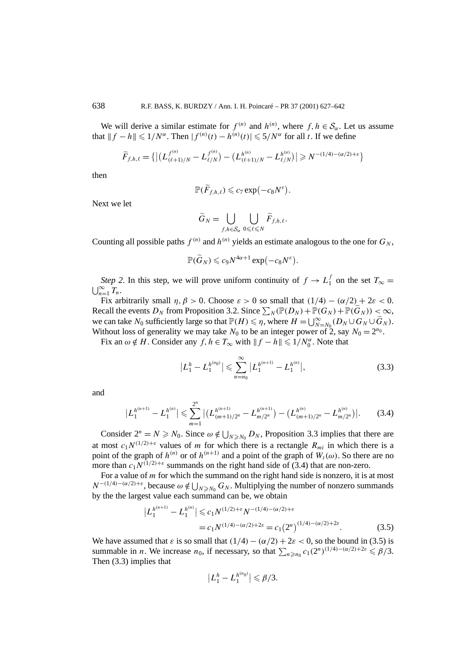We will derive a similar estimate for  $f^{(n)}$  and  $h^{(n)}$ , where  $f, h \in S_\alpha$ . Let us assume that  $|| f − h || \leq 1/N^{\alpha}$ . Then  $| f^{(n)}(t) − h^{(n)}(t) | \leq 5/N^{\alpha}$  for all *t*. If we define

$$
\widetilde{F}_{f,h,\ell} = \{ \left| \left( L_{(\ell+1)/N}^{f^{(n)}} - L_{\ell/N}^{f^{(n)}} \right) - \left( L_{(\ell+1)/N}^{h^{(n)}} - L_{\ell/N}^{h^{(n)}} \right) \right| \ge N^{-(1/4) - (\alpha/2) + \varepsilon} \}
$$

then

$$
\mathbb{P}(\widetilde{F}_{f,h,\ell}) \leqslant c_7 \exp(-c_8 N^{\varepsilon}).
$$

Next we let

$$
\widetilde{G}_N = \bigcup_{f,h \in \mathcal{S}_{\alpha}} \bigcup_{0 \leq \ell \leq N} \widetilde{F}_{f,h,\ell}.
$$

Counting all possible paths  $f^{(n)}$  and  $h^{(n)}$  yields an estimate analogous to the one for  $G_N$ ,

$$
\mathbb{P}(\widetilde{G}_N) \leqslant c_9 N^{4\alpha+1} \exp(-c_8 N^{\varepsilon}).
$$

*Step 2*. In this step, we will prove uniform continuity of  $f \to L_1^f$  on the set  $T_\infty = \bigsqcup_{n=1}^\infty T_n$ .  $\bigcup_{n=1}^{\infty} T_n$ .

Fix arbitrarily small  $\eta$ ,  $\beta > 0$ . Choose  $\varepsilon > 0$  so small that  $(1/4) - (\alpha/2) + 2\varepsilon < 0$ . Recall the events  $D_N$  from Proposition 3.2. Since  $\sum_N (\mathbb{P}(D_N) + \mathbb{P}(G_N) + \mathbb{P}(\widetilde{G}_N)) < \infty$ , we can take  $N_0$  sufficiently large so that  $\mathbb{P}(H) \leq \eta$ , where  $H = \bigcup_{N=N_0}^{\infty} (D_N \cup G_N \cup \widetilde{G}_N)$ . Without loss of generality we may take  $N_0$  to be an integer power of 2, say  $N_0 = 2^{n_0}$ .

Fix an  $\omega \notin H$ . Consider any  $f, h \in T_{\infty}$  with  $||f - h|| \leq 1/N_0^{\alpha}$ . Note that

$$
\left| L_1^h - L_1^{h^{(n_0)}} \right| \leqslant \sum_{n=n_0}^{\infty} \left| L_1^{h^{(n+1)}} - L_1^{h^{(n)}} \right|, \tag{3.3}
$$

and

$$
\left| L_1^{h^{(n+1)}} - L_1^{h^{(n)}} \right| \leqslant \sum_{m=1}^{2^n} \left| \left( L_{(m+1)/2^n}^{h^{(n+1)}} - L_{m/2^n}^{h^{(n+1)}} \right) - \left( L_{(m+1)/2^n}^{h^{(n)}} - L_{m/2^n}^{h^{(n)}} \right) \right|. \tag{3.4}
$$

Consider  $2^n = N \ge N_0$ . Since  $\omega \notin \bigcup_{N \ge N_0} D_N$ , Proposition 3.3 implies that there are at most  $c_1 N^{(1/2)+\varepsilon}$  values of *m* for which there is a rectangle  $R_{mi}$  in which there is a point of the graph of  $h^{(n)}$  or of  $h^{(n+1)}$  and a point of the graph of  $W_t(\omega)$ . So there are no more than  $c_1 N^{(1/2)+\varepsilon}$  summands on the right hand side of (3.4) that are non-zero.

For a value of *m* for which the summand on the right hand side is nonzero, it is at most  $N^{-(1/4)-(\alpha/2)+\varepsilon}$ , because  $\omega \notin \bigcup_{N \geq N_0} G_N$ . Multiplying the number of nonzero summands by the the largest value each summand can be, we obtain

$$
\left| L_1^{h^{(n+1)}} - L_1^{h^{(n)}} \right| \leqslant c_1 N^{(1/2) + \varepsilon} N^{-(1/4) - (\alpha/2) + \varepsilon}
$$
  
=  $c_1 N^{(1/4) - (\alpha/2) + 2\varepsilon} = c_1 (2^n)^{(1/4) - (\alpha/2) + 2\varepsilon}$ . (3.5)

We have assumed that  $\varepsilon$  is so small that  $(1/4) - (\alpha/2) + 2\varepsilon < 0$ , so the bound in (3.5) is summable in *n*. We increase  $n_0$ , if necessary, so that  $\sum_{n \ge n_0} c_1(2^n)^{(1/4)-(\alpha/2)+2\varepsilon} \le \beta/3$ . Then (3.3) implies that

$$
\left|L_1^h-L_1^{h^{(n_0)}}\right|\leqslant \beta/3.
$$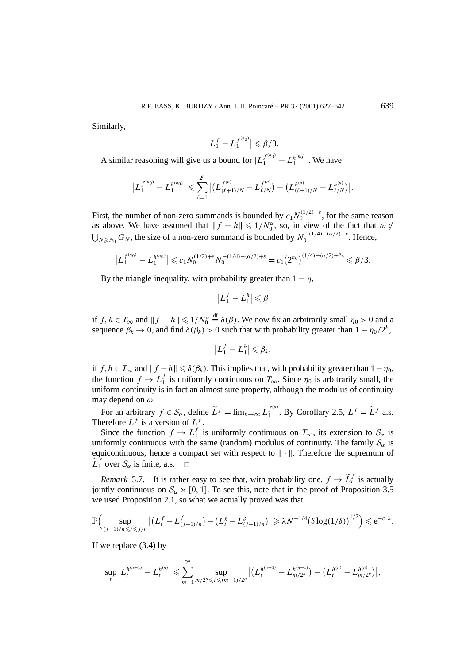Similarly,

$$
\left|L_1^f-L_1^{f^{(n_0)}}\right|\leqslant \beta/3.
$$

A similar reasoning will give us a bound for  $|L_1^{f^{(n_0)}} - L_1^{h^{(n_0)}}|$ . We have

$$
\left|L_1^{f^{(n_0)}}-L_1^{h^{(n_0)}}\right|\leqslant \sum_{\ell=1}^{2^n}\left|\left(L_{(\ell+1)/N}^{f^{(n)}}-L_{\ell/N}^{f^{(n)}}\right)-\left(L_{(\ell+1)/N}^{h^{(n)}}-L_{\ell/N}^{h^{(n)}}\right)\right|.
$$

First, the number of non-zero summands is bounded by  $c_1 N_0^{(1/2)+\varepsilon}$ , for the same reason as above. We have assumed that  $|| f - h || \leq 1/N_0^{\alpha}$ , so, in view of the fact that  $\omega \notin$  $\bigcup_{N \ge N_0}$   $\widetilde{G}_N$ , the size of a non-zero summand is bounded by  $N_0^{-(1/4)-(\alpha/2)+ε}$ . Hence,

$$
\left|L_1^{f^{(n_0)}} - L_1^{h^{(n_0)}}\right| \leqslant c_1 N_0^{(1/2) + \varepsilon} N_0^{-(1/4) - (\alpha/2) + \varepsilon} = c_1 (2^{n_0})^{(1/4) - (\alpha/2) + 2\varepsilon} \leqslant \beta/3.
$$

By the triangle inequality, with probability greater than  $1 - \eta$ ,

$$
\left|L_1^f-L_1^h\right|\leqslant\beta
$$

if  $f, h \in T_\infty$  and  $|| f - h || \leq 1/N_0^{\alpha}$  $\stackrel{\text{df}}{=}$   $\delta(\beta)$ . We now fix an arbitrarily small  $\eta_0 > 0$  and a sequence  $\beta_k \to 0$ , and find  $\delta(\beta_k) > 0$  such that with probability greater than  $1 - \eta_0/2^k$ ,

$$
|L_1^f-L_1^h|\leq \beta_k,
$$

if *f, h* ∈ *T*<sub>∞</sub> and  $||f - h|| \le \delta(\beta_k)$ . This implies that, with probability greater than 1 −  $\eta_0$ , the function  $f \to L_1^f$  is uniformly continuous on  $T_\infty$ . Since  $\eta_0$  is arbitrarily small, the uniform continuity is in fact an almost sure property, although the modulus of continuity may depend on *ω*.

For an arbitrary  $f \in \mathcal{S}_{\alpha}$ , define  $\widetilde{L}^f = \lim_{n \to \infty} L_1^{f^{(n)}}$ . By Corollary 2.5,  $L^f = \widetilde{L}^f$  a.s. Therefore  $\widetilde{L}^f$  is a version of  $L^f$ .

Since the function  $f \to L_1^f$  is uniformly continuous on  $T_\infty$ , its extension to  $S_\alpha$  is uniformly continuous with the same (random) modulus of continuity. The family  $S_\alpha$  is equicontinuous, hence a compact set with respect to  $\|\cdot\|$ . Therefore the supremum of  $\widetilde{L}_1^f$  over  $\mathcal{S}_{\alpha}$  is finite, a.s.  $\Box$ 

*Remark* 3.7. – It is rather easy to see that, with probability one,  $f \rightarrow \tilde{L}_t^f$  is actually jointly continuous on  $S_\alpha \times [0, 1]$ . To see this, note that in the proof of Proposition 3.5 we used Proposition 2.1, so what we actually proved was that

$$
\mathbb{P}\Big(\sup_{(j-1)/n\leq t\leq j/n}\big|\big(L_t^f-L_{(j-1)/n}^f\big)-\big(L_t^g-L_{(j-1)/n}^g\big)\big|\geq \lambda N^{-1/4}\big(\delta\log(1/\delta)\big)^{1/2}\Big)\leqslant e^{-c_1\lambda}.
$$

If we replace (3.4) by

$$
\sup_t |L_t^{h^{(n+1)}} - L_t^{h^{(n)}}| \leq \sum_{m=1}^{2^n} \sup_{m/2^n \leq t \leq (m+1)/2^n} |(L_t^{h^{(n+1)}} - L_{m/2^n}^{h^{(n+1)}}) - (L_t^{h^{(n)}} - L_{m/2^n}^{h^{(n)}})|,
$$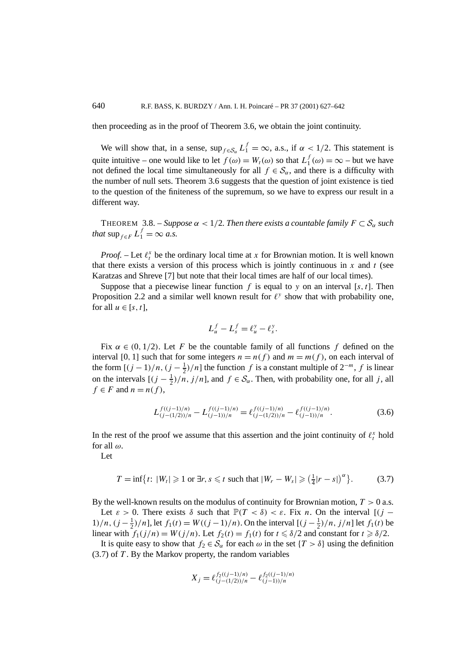then proceeding as in the proof of Theorem 3.6, we obtain the joint continuity.

We will show that, in a sense,  $\sup_{f \in S_\alpha} L_1^f = \infty$ , a.s., if  $\alpha < 1/2$ . This statement is quite intuitive – one would like to let  $f(\omega) = W_t(\omega)$  so that  $L_1^f(\omega) = \infty$  – but we have not defined the local time simultaneously for all  $f \in S_\alpha$ , and there is a difficulty with the number of null sets. Theorem 3.6 suggests that the question of joint existence is tied to the question of the finiteness of the supremum, so we have to express our result in a different way.

THEOREM 3.8. – *Suppose*  $\alpha < 1/2$ . Then there exists a countable family  $F \subset S_\alpha$  such *that*  $\sup_{f \in F} L_1^f = \infty$  *a.s.* 

*Proof.* – Let  $\ell_t^x$  be the ordinary local time at *x* for Brownian motion. It is well known that there exists a version of this process which is jointly continuous in  $x$  and  $t$  (see Karatzas and Shreve [7] but note that their local times are half of our local times).

Suppose that a piecewise linear function  $f$  is equal to  $y$  on an interval [ $s, t$ ]. Then Proposition 2.2 and a similar well known result for  $\ell^y$  show that with probability one, for all  $u \in [s, t]$ ,

$$
L_u^f - L_s^f = \ell_u^y - \ell_s^y.
$$

Fix  $\alpha \in (0, 1/2)$ . Let *F* be the countable family of all functions *f* defined on the interval [0, 1] such that for some integers  $n = n(f)$  and  $m = m(f)$ , on each interval of the form  $[(j-1)/n, (j-\frac{1}{2})/n]$  the function *f* is a constant multiple of  $2^{-m}$ , *f* is linear on the intervals  $[(j - \frac{1}{2})/n, j/n]$ , and  $f \in S_\alpha$ . Then, with probability one, for all *j*, all  $f \in F$  and  $n = n(f)$ ,

$$
L_{(j-(1/2))/n}^{f((j-1)/n)} - L_{(j-1))/n}^{f((j-1)/n)} = \ell_{(j-(1/2))/n}^{f((j-1)/n)} - \ell_{(j-1)/n}^{f((j-1)/n)}.
$$
\n(3.6)

In the rest of the proof we assume that this assertion and the joint continuity of  $\ell_t^x$  hold for all *ω*.

Let

$$
T = \inf\{t: |W_t| \geqslant 1 \text{ or } \exists r, s \leqslant t \text{ such that } |W_r - W_s| \geqslant \left(\frac{1}{4}|r - s|\right)^{\alpha}\}.
$$
 (3.7)

By the well-known results on the modulus of continuity for Brownian motion, *T >* 0 a.s.

Let  $\varepsilon > 0$ . There exists  $\delta$  such that  $\mathbb{P}(T < \delta) < \varepsilon$ . Fix *n*. On the interval  $[(j -$ 1)/n,  $(j - \frac{1}{2})/n$ , let  $f_1(t) = W((j - 1)/n)$ . On the interval  $[(j - \frac{1}{2})/n, j/n]$  let  $f_1(t)$  be linear with  $f_1(j/n) = W(j/n)$ . Let  $f_2(t) = f_1(t)$  for  $t \le \delta/2$  and constant for  $t \ge \delta/2$ .

It is quite easy to show that  $f_2 \in S_\alpha$  for each  $\omega$  in the set  $\{T > \delta\}$  using the definition (3.7) of *T* . By the Markov property, the random variables

$$
X_j = \ell_{(j-(1/2))/n}^{f_2((j-1)/n)} - \ell_{(j-1))/n}^{f_2((j-1)/n)}
$$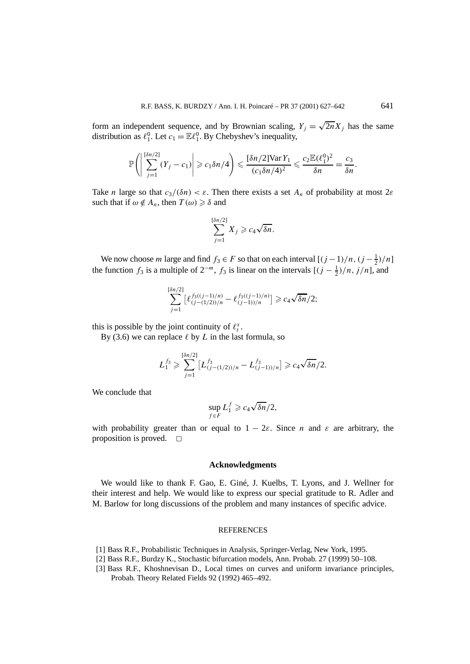form an independent sequence, and by Brownian scaling,  $Y_i = \sqrt{2n}X_i$  has the same distribution as  $\ell_1^0$ . Let  $c_1 = \mathbb{E}\ell_1^0$ . By Chebyshev's inequality,

$$
\mathbb{P}\Bigg(\Bigg|\sum_{j=1}^{\lceil \delta n/2 \rceil} (Y_j - c_1)\Bigg| \geqslant c_1 \delta n/4\Bigg) \leqslant \frac{\lceil \delta n/2 \rceil \text{Var}\, Y_1}{(c_1 \delta n/4)^2} \leqslant \frac{c_2 \mathbb{E}(\ell_1^0)^2}{\delta n} = \frac{c_3}{\delta n}.
$$

Take *n* large so that  $c_3/(8n) < \varepsilon$ . Then there exists a set  $A_n$  of probability at most 2 $\varepsilon$ such that if  $\omega \notin A_n$ , then  $T(\omega) \geq \delta$  and

$$
\sum_{j=1}^{[\delta n/2]} X_j \geqslant c_4 \sqrt{\delta n}.
$$

We now choose *m* large and find  $f_3 \in F$  so that on each interval  $[(j-1)/n, (j-\frac{1}{2})/n]$ the function  $f_3$  is a multiple of  $2^{-m}$ ,  $f_3$  is linear on the intervals  $[(j - \frac{1}{2})/n, j/n]$ , and

$$
\sum_{j=1}^{\left[\delta n/2\right]} \left[\ell_{(j-(1/2))/n}^{f_3((j-1)/n)} - \ell_{(j-1))/n}^{f_3((j-1)/n)}\right] \geq c_4 \sqrt{\delta n}/2;
$$

this is possible by the joint continuity of  $\ell_t^x$ .

By (3.6) we can replace  $\ell$  by  $L$  in the last formula, so

$$
L_1^{f_3} \geqslant \sum_{j=1}^{[\delta n/2]} \left[ L_{(j-(1/2))/n}^{f_3} - L_{(j-1))/n}^{f_3} \right] \geqslant c_4 \sqrt{\delta n}/2.
$$

We conclude that

$$
\sup_{f \in F} L_1^f \geqslant c_4 \sqrt{\delta n}/2,
$$

with probability greater than or equal to  $1 - 2\varepsilon$ . Since *n* and  $\varepsilon$  are arbitrary, the proposition is proved.  $\Box$ 

#### **Acknowledgments**

We would like to thank F. Gao, E. Giné, J. Kuelbs, T. Lyons, and J. Wellner for their interest and help. We would like to express our special gratitude to R. Adler and M. Barlow for long discussions of the problem and many instances of specific advice.

#### REFERENCES

- [1] Bass R.F., Probabilistic Techniques in Analysis, Springer-Verlag, New York, 1995.
- [2] Bass R.F., Burdzy K., Stochastic bifurcation models, Ann. Probab. 27 (1999) 50–108.
- [3] Bass R.F., Khoshnevisan D., Local times on curves and uniform invariance principles, Probab. Theory Related Fields 92 (1992) 465–492.